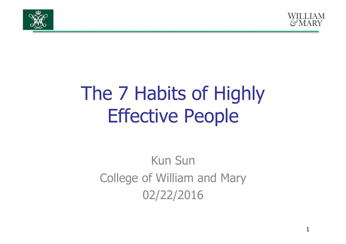



## The 7 Habits of Highly Effective People

#### Kun Sun College of William and Mary 02/22/2016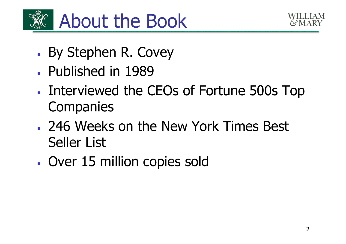



- By Stephen R. Covey
- Published in 1989
- Interviewed the CEOs of Fortune 500s Top **Companies**
- 246 Weeks on the New York Times Best Seller List
- Over 15 million copies sold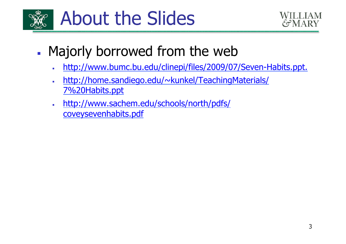



- Majorly borrowed from the web
	- http://www.bumc.bu.edu/clinepi/files/2009/07/Seven-Habits.ppt.
	- http://home.sandiego.edu/~kunkel/TeachingMaterials/ 7%20Habits.ppt
	- http://www.sachem.edu/schools/north/pdfs/ coveysevenhabits.pdf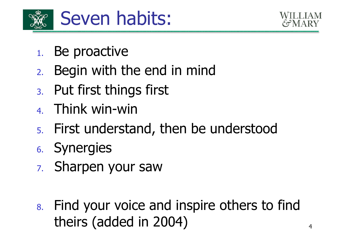



- 1. Be proactive
- 2. Begin with the end in mind
- 3. Put first things first
- 4. Think win-win
- 5. First understand, then be understood
- 6. Synergies
- 7. Sharpen your saw
- 8. Find your voice and inspire others to find theirs (added in 2004)  $4 \times 4$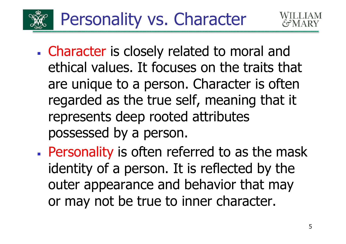

- Character is closely related to moral and ethical values. It focuses on the traits that are unique to a person. Character is often regarded as the true self, meaning that it represents deep rooted attributes possessed by a person.
- Personality is often referred to as the mask identity of a person. It is reflected by the outer appearance and behavior that may or may not be true to inner character.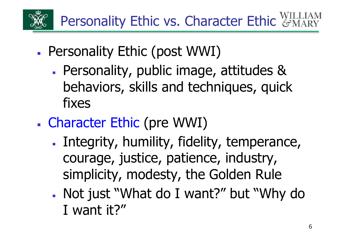- Personality Ethic (post WWI)
	- Personality, public image, attitudes & behaviors, skills and techniques, quick fixes
- Character Ethic (pre WWI)
	- . Integrity, humility, fidelity, temperance, courage, justice, patience, industry, simplicity, modesty, the Golden Rule
	- Not just "What do I want?" but "Why do I want it?"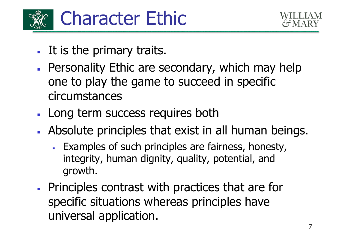



- It is the primary traits.
- Personality Ethic are secondary, which may help one to play the game to succeed in specific circumstances
- Long term success requires both
- . Absolute principles that exist in all human beings.
	- Examples of such principles are fairness, honesty, integrity, human dignity, quality, potential, and growth.
- **Principles contrast with practices that are for** specific situations whereas principles have universal application.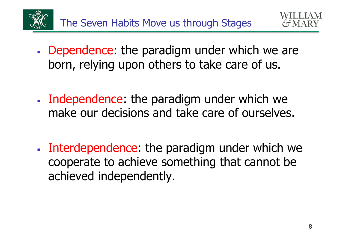

- Dependence: the paradigm under which we are born, relying upon others to take care of us.
- Independence: the paradigm under which we make our decisions and take care of ourselves.
- **Interdependence:** the paradigm under which we cooperate to achieve something that cannot be achieved independently.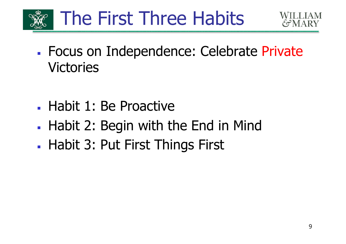

- 
- **Focus on Independence: Celebrate Private** Victories
- Habit 1: Be Proactive
- Habit 2: Begin with the End in Mind
- Habit 3: Put First Things First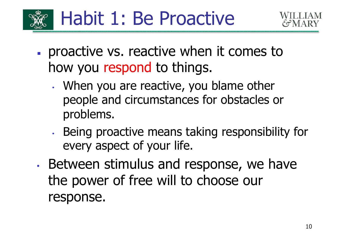

- proactive vs. reactive when it comes to how you respond to things.
	- When you are reactive, you blame other people and circumstances for obstacles or problems.
	- Being proactive means taking responsibility for every aspect of your life.
- Between stimulus and response, we have the power of free will to choose our response.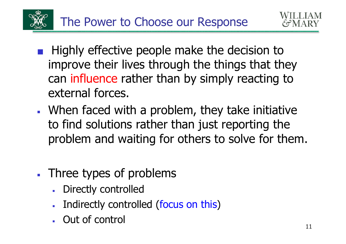

- Highly effective people make the decision to
- improve their lives through the things that they can influence rather than by simply reacting to external forces.
- When faced with a problem, they take initiative to find solutions rather than just reporting the problem and waiting for others to solve for them.
- **Three types of problems** 
	- Directly controlled
	- Indirectly controlled (focus on this)
	- Out of control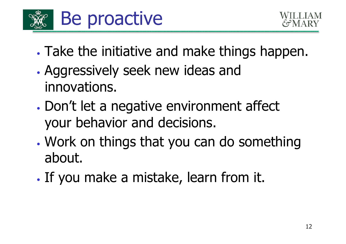



- Take the initiative and make things happen.
- Aggressively seek new ideas and innovations.
- Don't let a negative environment affect your behavior and decisions.
- Work on things that you can do something about.
- If you make a mistake, learn from it.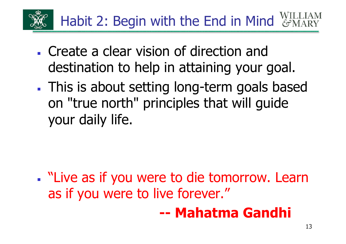

- Create a clear vision of direction and destination to help in attaining your goal.
- This is about setting long-term goals based on "true north" principles that will guide your daily life.

- "Live as if you were to die tomorrow. Learn as if you were to live forever."

### **-- Mahatma Gandhi**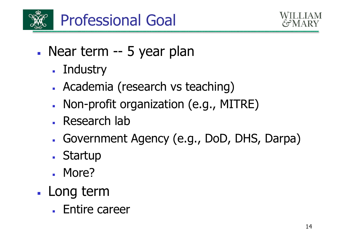



- Near term -- 5 year plan
	- Industry
	- Academia (research vs teaching)
	- Non-profit organization (e.g., MITRE)
	- Research lab
	- Government Agency (e.g., DoD, DHS, Darpa)
	- Startup
	- More?
- Long term
	- Entire career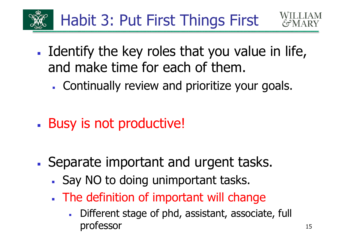

- I dentify the key roles that you value in life, and make time for each of them.
	- Continually review and prioritize your goals.
- Busy is not productive!
- Separate important and urgent tasks.
	- Say NO to doing unimportant tasks.
	- The definition of important will change
		- Different stage of phd, assistant, associate, full professor 15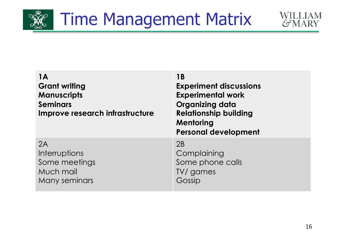

| <b>1A</b><br><b>Grant writing</b><br><b>Manuscripts</b><br><b>Seminars</b><br>Improve research infrastructure | <b>1B</b><br><b>Experiment discussions</b><br><b>Experimental work</b><br><b>Organizing data</b><br><b>Relationship building</b><br><b>Mentoring</b><br><b>Personal development</b> |
|---------------------------------------------------------------------------------------------------------------|-------------------------------------------------------------------------------------------------------------------------------------------------------------------------------------|
| 2A                                                                                                            | 2B                                                                                                                                                                                  |
| Interruptions                                                                                                 | Complaining                                                                                                                                                                         |
| Some meetings                                                                                                 | Some phone calls                                                                                                                                                                    |
| Much mail                                                                                                     | TV/ games                                                                                                                                                                           |
| Many seminars                                                                                                 | Gossip                                                                                                                                                                              |

WILLIAM<br>GMARY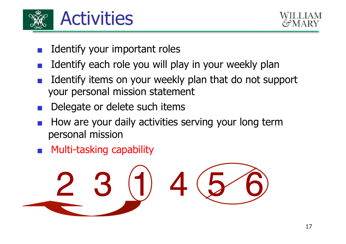

- Identify your important roles
- Identify each role you will play in your weekly plan
- Identify items on your weekly plan that do not support your personal mission statement
- Delegate or delete such items
- How are your daily activities serving your long term personal mission
- Multi-tasking capability

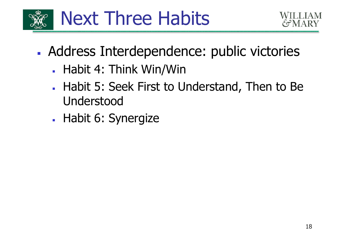

- Address Interdependence: public victories
	- Habit 4: Think Win/Win
	- **Habit 5: Seek First to Understand, Then to Be** Understood
	- Habit 6: Synergize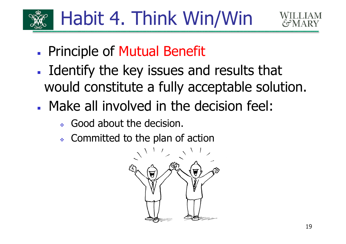

- **Principle of Mutual Benefit**
- **.** Identify the key issues and results that would constitute a fully acceptable solution.
- Make all involved in the decision feel:
	- ! Good about the decision.
	- ! Committed to the plan of action

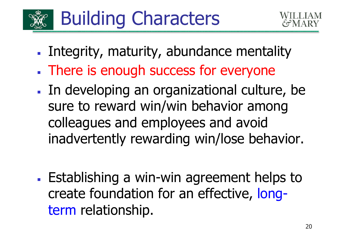# Building Characters

- Integrity, maturity, abundance mentality
- There is enough success for everyone
- In developing an organizational culture, be sure to reward win/win behavior among colleagues and employees and avoid inadvertently rewarding win/lose behavior.
- Establishing a win-win agreement helps to create foundation for an effective, longterm relationship.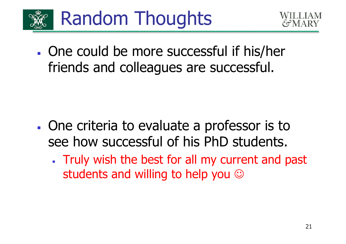



• One could be more successful if his/her friends and colleagues are successful.

- One criteria to evaluate a professor is to see how successful of his PhD students.
	- . Truly wish the best for all my current and past students and willing to help you  $\odot$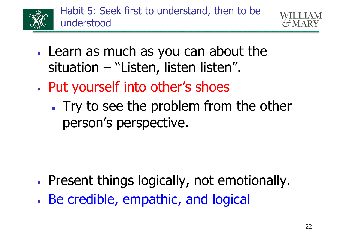



- Learn as much as you can about the situation – "Listen, listen listen".
- Put yourself into other's shoes
	- Try to see the problem from the other person's perspective.

- Present things logically, not emotionally.
- Be credible, empathic, and logical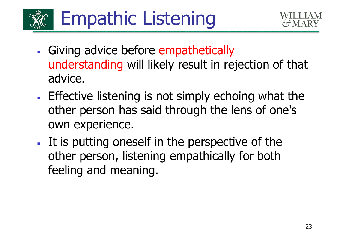



- Giving advice before empathetically understanding will likely result in rejection of that advice.
- **Effective listening is not simply echoing what the** other person has said through the lens of one's own experience.
- It is putting oneself in the perspective of the other person, listening empathically for both feeling and meaning.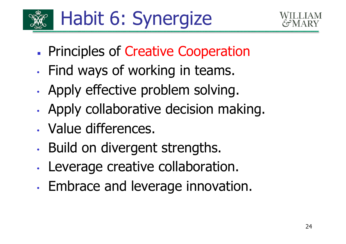



- **Principles of Creative Cooperation**
- Find ways of working in teams.
- Apply effective problem solving.
- Apply collaborative decision making.
- Value differences.
- Build on divergent strengths.
- Leverage creative collaboration.
- Embrace and leverage innovation.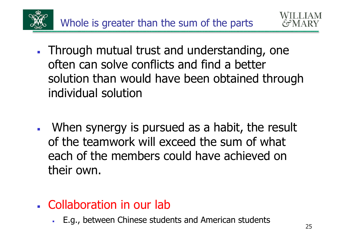

- Through mutual trust and understanding, one often can solve conflicts and find a better solution than would have been obtained through individual solution
- **When synergy is pursued as a habit, the result** of the teamwork will exceed the sum of what each of the members could have achieved on their own.
- Collaboration in our lab
	- E.g., between Chinese students and American students 25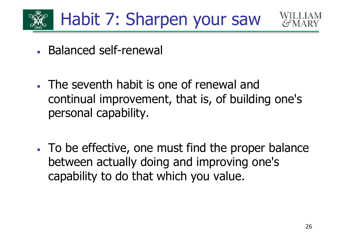

- Balanced self-renewal
- The seventh habit is one of renewal and continual improvement, that is, of building one's personal capability.
- To be effective, one must find the proper balance between actually doing and improving one's capability to do that which you value.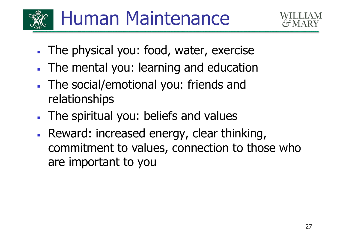



- **The physical you: food, water, exercise**
- The mental you: learning and education
- **The social/emotional you: friends and** relationships
- The spiritual you: beliefs and values
- Reward: increased energy, clear thinking, commitment to values, connection to those who are important to you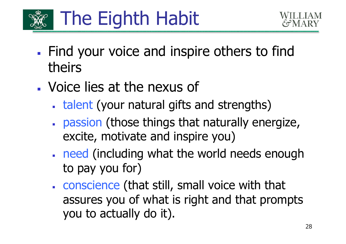- **Find your voice and inspire others to find** theirs
- Voice lies at the nexus of
	- talent (your natural gifts and strengths)
	- passion (those things that naturally energize, excite, motivate and inspire you)
	- . need (including what the world needs enough to pay you for)
	- conscience (that still, small voice with that assures you of what is right and that prompts you to actually do it).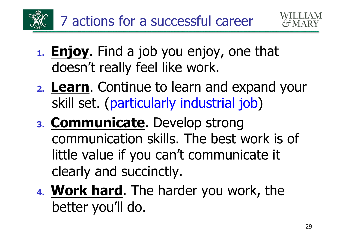



- **1. Enjoy**. Find a job you enjoy, one that doesn't really feel like work.
- **2. Learn**. Continue to learn and expand your skill set. (particularly industrial job)
- **3. Communicate**. Develop strong communication skills. The best work is of little value if you can't communicate it clearly and succinctly.
- **4. Work hard**. The harder you work, the better you'll do.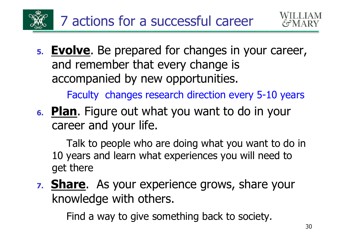

**5. Evolve**. Be prepared for changes in your career, and remember that every change is accompanied by new opportunities.

Faculty changes research direction every 5-10 years

**6. Plan**. Figure out what you want to do in your career and your life.

 Talk to people who are doing what you want to do in 10 years and learn what experiences you will need to get there

**7. Share**. As your experience grows, share your knowledge with others.

Find a way to give something back to society.